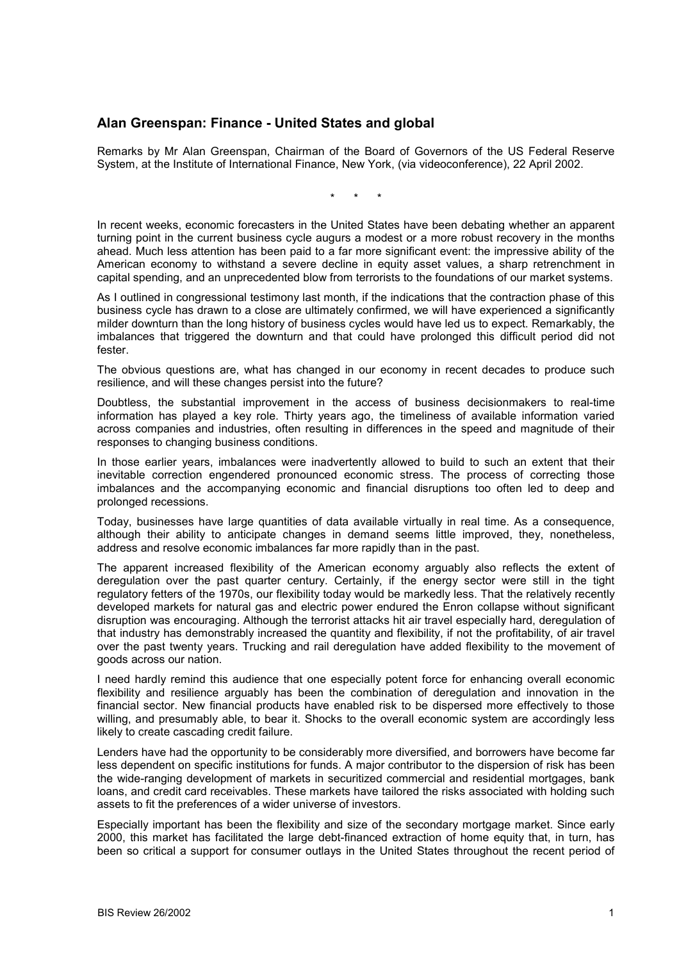## **Alan Greenspan: Finance - United States and global**

Remarks by Mr Alan Greenspan, Chairman of the Board of Governors of the US Federal Reserve System, at the Institute of International Finance, New York, (via videoconference), 22 April 2002.

\* \* \*

In recent weeks, economic forecasters in the United States have been debating whether an apparent turning point in the current business cycle augurs a modest or a more robust recovery in the months ahead. Much less attention has been paid to a far more significant event: the impressive ability of the American economy to withstand a severe decline in equity asset values, a sharp retrenchment in capital spending, and an unprecedented blow from terrorists to the foundations of our market systems.

As I outlined in congressional testimony last month, if the indications that the contraction phase of this business cycle has drawn to a close are ultimately confirmed, we will have experienced a significantly milder downturn than the long history of business cycles would have led us to expect. Remarkably, the imbalances that triggered the downturn and that could have prolonged this difficult period did not fester.

The obvious questions are, what has changed in our economy in recent decades to produce such resilience, and will these changes persist into the future?

Doubtless, the substantial improvement in the access of business decisionmakers to real-time information has played a key role. Thirty years ago, the timeliness of available information varied across companies and industries, often resulting in differences in the speed and magnitude of their responses to changing business conditions.

In those earlier years, imbalances were inadvertently allowed to build to such an extent that their inevitable correction engendered pronounced economic stress. The process of correcting those imbalances and the accompanying economic and financial disruptions too often led to deep and prolonged recessions.

Today, businesses have large quantities of data available virtually in real time. As a consequence, although their ability to anticipate changes in demand seems little improved, they, nonetheless, address and resolve economic imbalances far more rapidly than in the past.

The apparent increased flexibility of the American economy arguably also reflects the extent of deregulation over the past quarter century. Certainly, if the energy sector were still in the tight regulatory fetters of the 1970s, our flexibility today would be markedly less. That the relatively recently developed markets for natural gas and electric power endured the Enron collapse without significant disruption was encouraging. Although the terrorist attacks hit air travel especially hard, deregulation of that industry has demonstrably increased the quantity and flexibility, if not the profitability, of air travel over the past twenty years. Trucking and rail deregulation have added flexibility to the movement of goods across our nation.

I need hardly remind this audience that one especially potent force for enhancing overall economic flexibility and resilience arguably has been the combination of deregulation and innovation in the financial sector. New financial products have enabled risk to be dispersed more effectively to those willing, and presumably able, to bear it. Shocks to the overall economic system are accordingly less likely to create cascading credit failure.

Lenders have had the opportunity to be considerably more diversified, and borrowers have become far less dependent on specific institutions for funds. A major contributor to the dispersion of risk has been the wide-ranging development of markets in securitized commercial and residential mortgages, bank loans, and credit card receivables. These markets have tailored the risks associated with holding such assets to fit the preferences of a wider universe of investors.

Especially important has been the flexibility and size of the secondary mortgage market. Since early 2000, this market has facilitated the large debt-financed extraction of home equity that, in turn, has been so critical a support for consumer outlays in the United States throughout the recent period of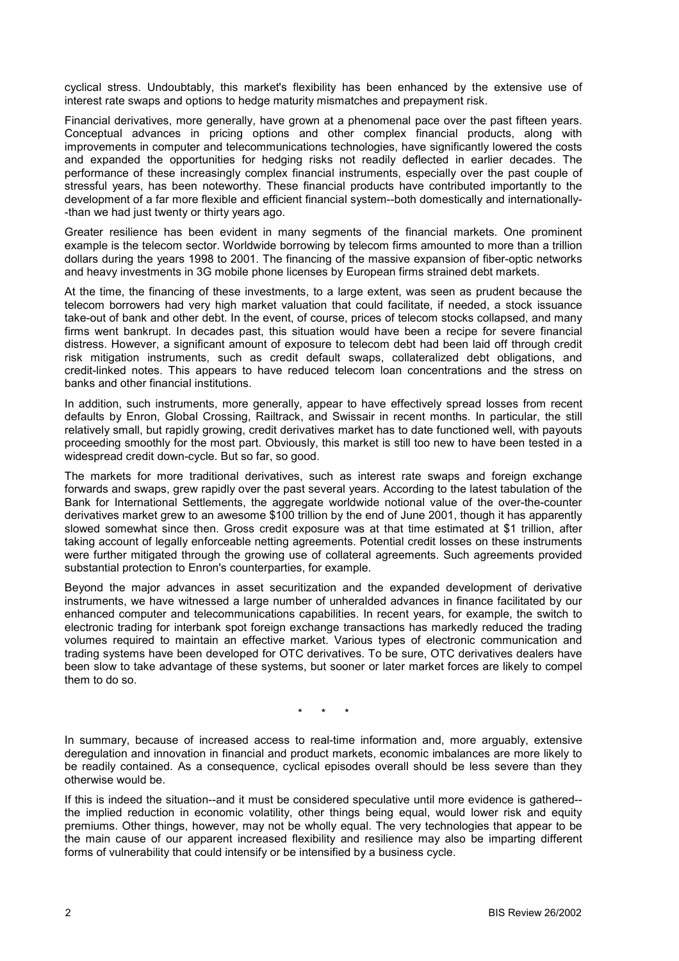cyclical stress. Undoubtably, this market's flexibility has been enhanced by the extensive use of interest rate swaps and options to hedge maturity mismatches and prepayment risk.

Financial derivatives, more generally, have grown at a phenomenal pace over the past fifteen years. Conceptual advances in pricing options and other complex financial products, along with improvements in computer and telecommunications technologies, have significantly lowered the costs and expanded the opportunities for hedging risks not readily deflected in earlier decades. The performance of these increasingly complex financial instruments, especially over the past couple of stressful years, has been noteworthy. These financial products have contributed importantly to the development of a far more flexible and efficient financial system--both domestically and internationally- -than we had just twenty or thirty years ago.

Greater resilience has been evident in many segments of the financial markets. One prominent example is the telecom sector. Worldwide borrowing by telecom firms amounted to more than a trillion dollars during the years 1998 to 2001. The financing of the massive expansion of fiber-optic networks and heavy investments in 3G mobile phone licenses by European firms strained debt markets.

At the time, the financing of these investments, to a large extent, was seen as prudent because the telecom borrowers had very high market valuation that could facilitate, if needed, a stock issuance take-out of bank and other debt. In the event, of course, prices of telecom stocks collapsed, and many firms went bankrupt. In decades past, this situation would have been a recipe for severe financial distress. However, a significant amount of exposure to telecom debt had been laid off through credit risk mitigation instruments, such as credit default swaps, collateralized debt obligations, and credit-linked notes. This appears to have reduced telecom loan concentrations and the stress on banks and other financial institutions.

In addition, such instruments, more generally, appear to have effectively spread losses from recent defaults by Enron, Global Crossing, Railtrack, and Swissair in recent months. In particular, the still relatively small, but rapidly growing, credit derivatives market has to date functioned well, with payouts proceeding smoothly for the most part. Obviously, this market is still too new to have been tested in a widespread credit down-cycle. But so far, so good.

The markets for more traditional derivatives, such as interest rate swaps and foreign exchange forwards and swaps, grew rapidly over the past several years. According to the latest tabulation of the Bank for International Settlements, the aggregate worldwide notional value of the over-the-counter derivatives market grew to an awesome \$100 trillion by the end of June 2001, though it has apparently slowed somewhat since then. Gross credit exposure was at that time estimated at \$1 trillion, after taking account of legally enforceable netting agreements. Potential credit losses on these instruments were further mitigated through the growing use of collateral agreements. Such agreements provided substantial protection to Enron's counterparties, for example.

Beyond the major advances in asset securitization and the expanded development of derivative instruments, we have witnessed a large number of unheralded advances in finance facilitated by our enhanced computer and telecommunications capabilities. In recent years, for example, the switch to electronic trading for interbank spot foreign exchange transactions has markedly reduced the trading volumes required to maintain an effective market. Various types of electronic communication and trading systems have been developed for OTC derivatives. To be sure, OTC derivatives dealers have been slow to take advantage of these systems, but sooner or later market forces are likely to compel them to do so.

\* \* \*

In summary, because of increased access to real-time information and, more arguably, extensive deregulation and innovation in financial and product markets, economic imbalances are more likely to be readily contained. As a consequence, cyclical episodes overall should be less severe than they otherwise would be.

If this is indeed the situation--and it must be considered speculative until more evidence is gathered- the implied reduction in economic volatility, other things being equal, would lower risk and equity premiums. Other things, however, may not be wholly equal. The very technologies that appear to be the main cause of our apparent increased flexibility and resilience may also be imparting different forms of vulnerability that could intensify or be intensified by a business cycle.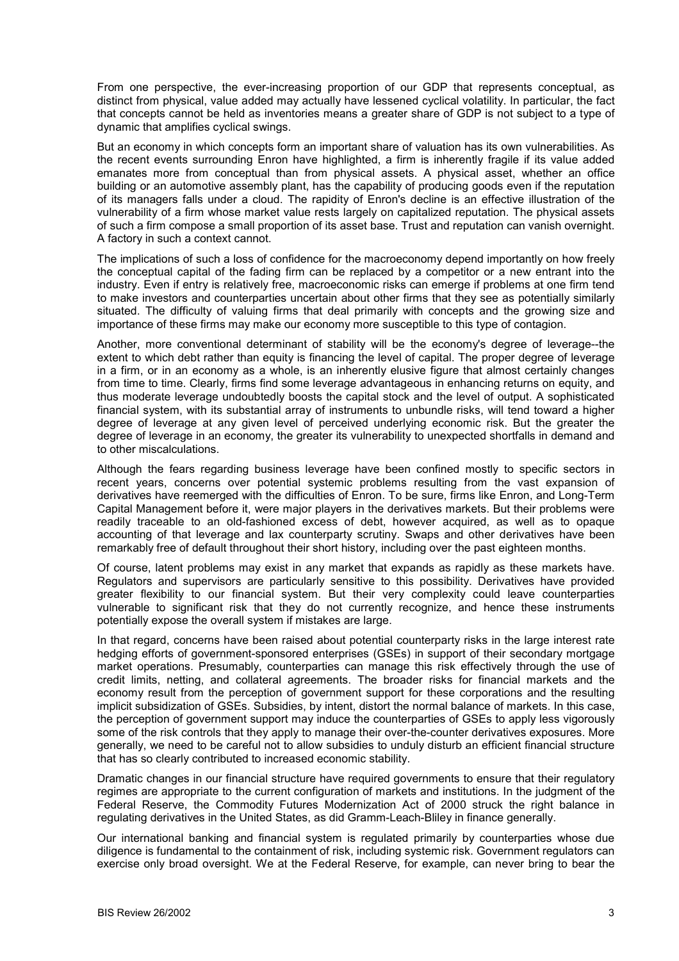From one perspective, the ever-increasing proportion of our GDP that represents conceptual, as distinct from physical, value added may actually have lessened cyclical volatility. In particular, the fact that concepts cannot be held as inventories means a greater share of GDP is not subject to a type of dynamic that amplifies cyclical swings.

But an economy in which concepts form an important share of valuation has its own vulnerabilities. As the recent events surrounding Enron have highlighted, a firm is inherently fragile if its value added emanates more from conceptual than from physical assets. A physical asset, whether an office building or an automotive assembly plant, has the capability of producing goods even if the reputation of its managers falls under a cloud. The rapidity of Enron's decline is an effective illustration of the vulnerability of a firm whose market value rests largely on capitalized reputation. The physical assets of such a firm compose a small proportion of its asset base. Trust and reputation can vanish overnight. A factory in such a context cannot.

The implications of such a loss of confidence for the macroeconomy depend importantly on how freely the conceptual capital of the fading firm can be replaced by a competitor or a new entrant into the industry. Even if entry is relatively free, macroeconomic risks can emerge if problems at one firm tend to make investors and counterparties uncertain about other firms that they see as potentially similarly situated. The difficulty of valuing firms that deal primarily with concepts and the growing size and importance of these firms may make our economy more susceptible to this type of contagion.

Another, more conventional determinant of stability will be the economy's degree of leverage--the extent to which debt rather than equity is financing the level of capital. The proper degree of leverage in a firm, or in an economy as a whole, is an inherently elusive figure that almost certainly changes from time to time. Clearly, firms find some leverage advantageous in enhancing returns on equity, and thus moderate leverage undoubtedly boosts the capital stock and the level of output. A sophisticated financial system, with its substantial array of instruments to unbundle risks, will tend toward a higher degree of leverage at any given level of perceived underlying economic risk. But the greater the degree of leverage in an economy, the greater its vulnerability to unexpected shortfalls in demand and to other miscalculations.

Although the fears regarding business leverage have been confined mostly to specific sectors in recent years, concerns over potential systemic problems resulting from the vast expansion of derivatives have reemerged with the difficulties of Enron. To be sure, firms like Enron, and Long-Term Capital Management before it, were major players in the derivatives markets. But their problems were readily traceable to an old-fashioned excess of debt, however acquired, as well as to opaque accounting of that leverage and lax counterparty scrutiny. Swaps and other derivatives have been remarkably free of default throughout their short history, including over the past eighteen months.

Of course, latent problems may exist in any market that expands as rapidly as these markets have. Regulators and supervisors are particularly sensitive to this possibility. Derivatives have provided greater flexibility to our financial system. But their very complexity could leave counterparties vulnerable to significant risk that they do not currently recognize, and hence these instruments potentially expose the overall system if mistakes are large.

In that regard, concerns have been raised about potential counterparty risks in the large interest rate hedging efforts of government-sponsored enterprises (GSEs) in support of their secondary mortgage market operations. Presumably, counterparties can manage this risk effectively through the use of credit limits, netting, and collateral agreements. The broader risks for financial markets and the economy result from the perception of government support for these corporations and the resulting implicit subsidization of GSEs. Subsidies, by intent, distort the normal balance of markets. In this case, the perception of government support may induce the counterparties of GSEs to apply less vigorously some of the risk controls that they apply to manage their over-the-counter derivatives exposures. More generally, we need to be careful not to allow subsidies to unduly disturb an efficient financial structure that has so clearly contributed to increased economic stability.

Dramatic changes in our financial structure have required governments to ensure that their regulatory regimes are appropriate to the current configuration of markets and institutions. In the judgment of the Federal Reserve, the Commodity Futures Modernization Act of 2000 struck the right balance in regulating derivatives in the United States, as did Gramm-Leach-Bliley in finance generally.

Our international banking and financial system is regulated primarily by counterparties whose due diligence is fundamental to the containment of risk, including systemic risk. Government regulators can exercise only broad oversight. We at the Federal Reserve, for example, can never bring to bear the